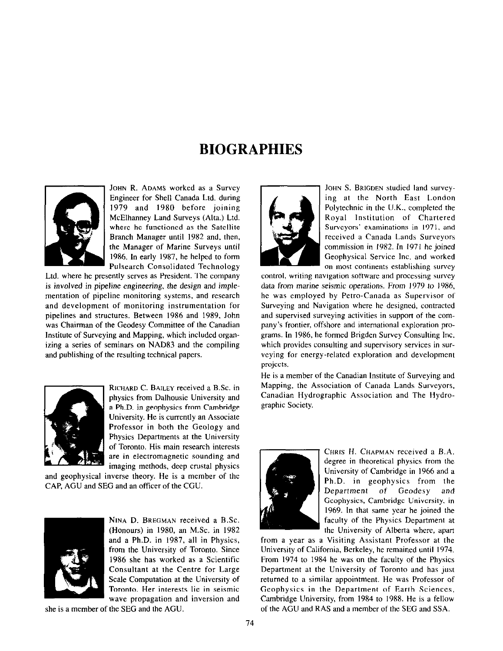## **BIOGRAPHIES**



JOHN R. ADAMS worked as a Survey Engineer for Shell Canada Ltd. during 1979 and 1980 before joining McElhanney Land Surveys (Alta.) Ltd. where he functioned as the Satellite Branch Manager until 1982 and, then, the Manager of Marine Surveys until 1986. In early 1987, he helped to form Pulsearch Consolidated Technology

Ltd. where he presently serves as President. The company is involved in pipeline engineering, the design and implementation of pipeline monitoring systems, and research and development of monitoring instrumentation for pipelines and structures. Between 1986 and 1989. John was Chairman of the Geodesy Committee of the Canadian Institute of Surveying and Mapping, which included organizing a series of seminars on NAD83 and the compiling and publishing of the resulting technical papers.



RICHARD C. BAILEY received a B.Sc. in physics from Dalhousie University and a Ph.D. in geophysics from Cambridge University. He is currently an Associate Professor in both the Geology and Physics Departments at the University of Toronto. His main research interests are in electromagnetic sounding and imaging methods, deep crustal physics

and geophysical inverse theory. He is a member of the CAP, AGU and SEG and an officer of the CGU.



NINA D. BREGMAN received a B.Sc. (Honours) in 1980, an M.Sc. in 1982 and a Ph.D. in 1987, all in Physics, from the University of Toronto. Since 1986 she has worked as a Scientific Consultant at the Centre for Large Scale Computation at the University of Toronto. Her interests lie in seismic wave propagation and inversion and

she is a member of the SEC and the AGU



JOHN S. BRIGDEN studied land surveying at the North East London Polytechnic in the U.K., completed the Royal Institution of Chartered Surveyors' examinations in 1971, and received a Canada Lands Surveyors commission in 1982. In 1971 he joined Geophysical Service Inc. and worked on most continents establishing survey

control, writing navigation software and processing survey data from marine seismic operations. From 1979 to 1986, he was employed by Petro-Canada as Supervisor of Surveying and Navigation where he designed, contracted and supervised surveying activities in support of the company's frontier, offshore and international exploration programs. In 1986, he formed Brigden Survey Consulting Inc. which provides consulting and supervisory services in surveying for energy-related exploration and development projects.

He is a member of the Canadian Institute of Surveying and Mapping, the Association of Canada Lands Surveyors, Canadian Hydrographic Association and The Hydrographic Society.



CHRIS H. CHAPMAN received a B.A. degree in theoretical physics from the University of Cambridge in 1966 and a Ph.D. in geophysics from the Department of Geodesy and Geophysics, Cambridge University, in 1969. In that same year he joined the faculty of the Physics Department at the University of Alberta where, apart

from a year as a Visiting Assistant Professor at the University of California, Berkeley, he remained until 1974. From 1974 to 1984 he was on the faculty of the Physics Department at the University of Toronto and has just returned to a similar appointment. He was Professor of Geophysics in the Department of Earth Sciences, Cambridge University, from 1984 to 1988. He is a fellow of the AGU and RAS and a member of the SEG and SSA.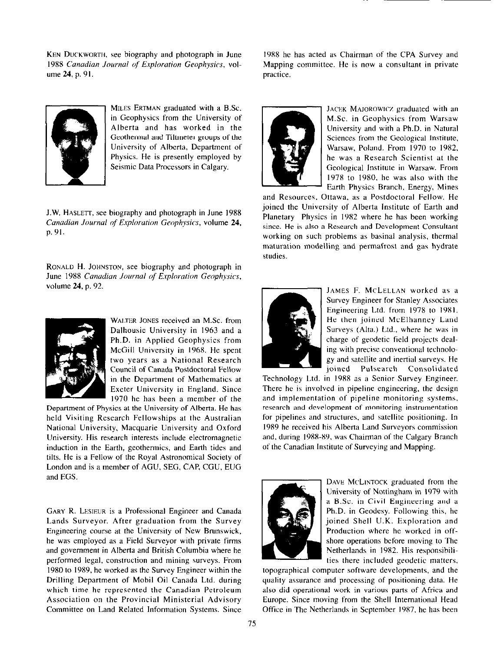KEN DUCKWORTH, see biography and photograph in June 1988 Canadian Journal of Exploration Geophysics, volume 24, p. 91.



MILES ERTMAN graduated with a B.Sc. in Geophysics from the University of Alberta and has worked in the Geothermal and Tiltmeter groups of the University of Alberta, Department of Physics. He is presently employed by Seismic Data Processors in Calgary.

J.W. HASLEIT, see biography and photograph in June 1988 Canadian Journal of Exploration Geophysics, volume 24, p.91.

RONALD H. JOHNSTON, see biography and photograph in June 1988 Canadian Journal of Exploration Geophysics, volume 24, p. 92.



WALTER JONES received an M.Sc. from Dalhousie University in 1963 and a Ph.D. in Applied Geophysics from McGill University in 1968. He spent two years as a National Research Council of Canada Postdoctoml Fellow in the Department of Mathematics at Exeter University in England. Since I970 he has been a member of the

Department of Physics at the University of Alberta. He has held Visiting Research Fellowships at the Australian National University. Macquarie University and Oxford University. His research interests include electromagnetic induction in the Earth, geothermics, and Earth tides and tilts. He is a Fellow of the Royal Astronomical Society of London and is a member of AGU, SEG, CAP, CGU, EUG and EGS.

GARY R. LESIEUR is a Professional Engineer and Canada Lands Surveyor. After graduation from the Survey Engineering course at the University of New Brunswick, he was employed as a Field Surveyor with private firms and government in Alberta and British Columbia where he performed legal, construction and mining surveys. From 1980 to 1989, he worked as the Survey Engineer within the Drilling Department of Mobil Oil Canada Ltd. during which time he represented the Canadian Petroleum Association on the Provincial Ministerial Advisory Committee on Land Related Information Systems. Since

1988 he has acted as Chairman of the CPA Survey and Mapping committee. He is now a consultant in private practice.



JACEK MAJOROWICZ graduated with an M.Sc. in Geophysics from Warsaw University and with a Ph.D. in Natural Sciences from the Geological Institute. Warsaw, Poland. From 1970 to 1982, he was a Research Scientist at the Geological Institute in Warsaw. From 1978 to 1980, he was also with the Earth Physics Branch, Energy, Mines

and Resources, Ottawa, as a Postdoctoral Fellow. He joined the University of Alberta Institute of Earth and Planetary Physics in 1982 where he has been working since. He is also a Research and Development Consultant working on such problems as basinal analysis. thermal maturation modelling and permafrost and gas hydrate studies.



JAMES F. MCLELLAN worked as a Survey Engineer for Stanley Associates Engineering Ltd. from 1978 to 19x1. He then joined McElhanney Land Surveys (Alta.) Ltd., where he was in charge of geodetic field projects dealing with precise conventional technology and satellite and inertial surveys. He joined Pulsearch Consolidated

Technology Ltd. in 1988 as a Senior Survey Engineer. There he is involved in pipeline engineering. the design and implementation of pipeline monitoring systems, research and development of monitoring instrumentation for pipelines and structures, and satellite positioning. In 1989 he received his Alberta Land Surveyors commission and, during 1988-89, was Chairman of the Calgary Branch of the Canadian Institute of Surveying and Mapping.



DAVE MCLINTOCK graduated from the University of Nottingham in 1979 with a B.Sc. in Civil Engineering and a Ph.D. in Geodesy. Following this, he joined Shell U.K. Exploration and Production where he worked in offshore operations before moving to The Netherlands in 19X2. His responsibilities there included geodetic matters,

topographical computer software developments, and the quality assurance and processing of positioning data. He also did operational work in various parts of Africa and Europe. Since moving from the Shell International Head Office in The Netherlands in September 1987, he has been